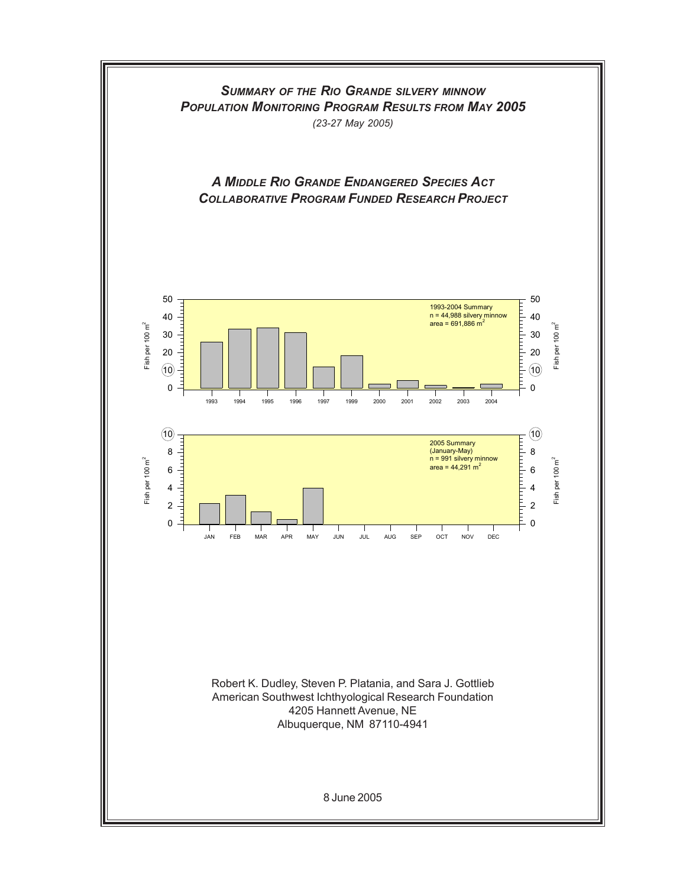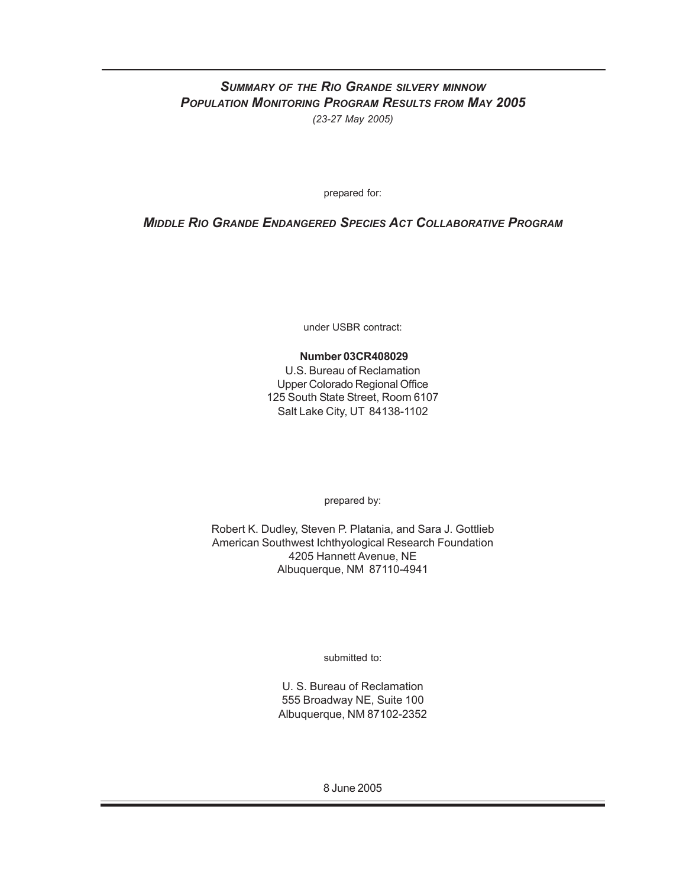## *SUMMARY OF THE RIO GRANDE SILVERY MINNOW POPULATION MONITORING PROGRAM RESULTS FROM MAY 2005 (23-27 May 2005)*

prepared for:

## *MIDDLE RIO GRANDE ENDANGERED SPECIES ACT COLLABORATIVE PROGRAM*

under USBR contract:

#### **Number 03CR408029**

U.S. Bureau of Reclamation Upper Colorado Regional Office 125 South State Street, Room 6107 Salt Lake City, UT 84138-1102

prepared by:

Robert K. Dudley, Steven P. Platania, and Sara J. Gottlieb American Southwest Ichthyological Research Foundation 4205 Hannett Avenue, NE Albuquerque, NM 87110-4941

submitted to:

U. S. Bureau of Reclamation 555 Broadway NE, Suite 100 Albuquerque, NM 87102-2352

8 June 2005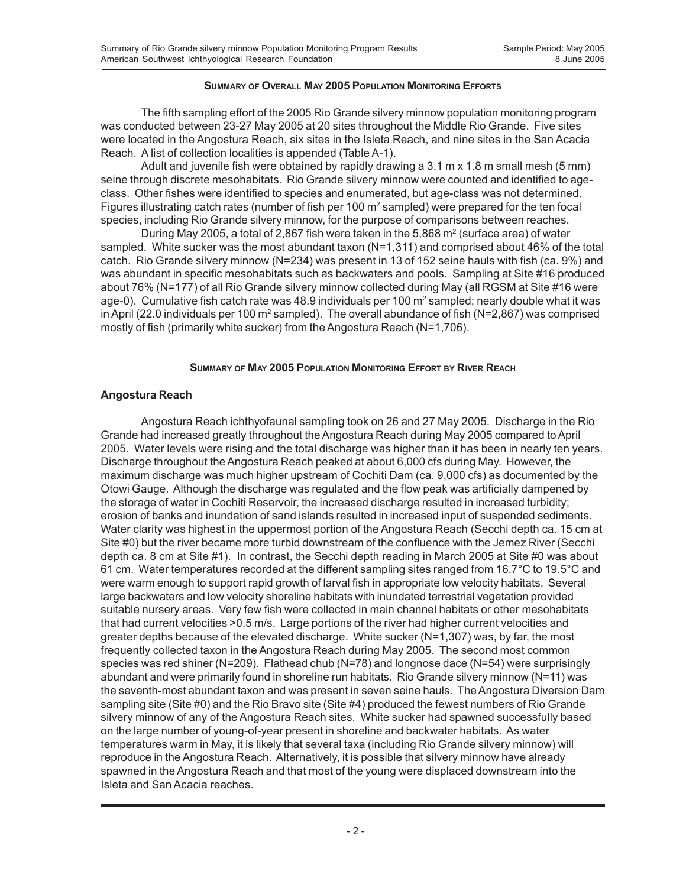#### **SUMMARY OF OVERALL MAY 2005 POPULATION MONITORING EFFORTS**

The fifth sampling effort of the 2005 Rio Grande silvery minnow population monitoring program was conducted between 23-27 May 2005 at 20 sites throughout the Middle Rio Grande. Five sites were located in the Angostura Reach, six sites in the Isleta Reach, and nine sites in the San Acacia Reach. A list of collection localities is appended (Table A-1).

Adult and juvenile fish were obtained by rapidly drawing a 3.1 m x 1.8 m small mesh (5 mm) seine through discrete mesohabitats. Rio Grande silvery minnow were counted and identified to ageclass. Other fishes were identified to species and enumerated, but age-class was not determined. Figures illustrating catch rates (number of fish per 100 m<sup>2</sup> sampled) were prepared for the ten focal species, including Rio Grande silvery minnow, for the purpose of comparisons between reaches.

During May 2005, a total of 2,867 fish were taken in the 5,868  $m^2$  (surface area) of water sampled. White sucker was the most abundant taxon (N=1,311) and comprised about 46% of the total catch. Rio Grande silvery minnow (N=234) was present in 13 of 152 seine hauls with fish (ca. 9%) and was abundant in specific mesohabitats such as backwaters and pools. Sampling at Site #16 produced about 76% (N=177) of all Rio Grande silvery minnow collected during May (all RGSM at Site #16 were age-0). Cumulative fish catch rate was 48.9 individuals per 100  $\text{m}^2$  sampled; nearly double what it was in April (22.0 individuals per 100 m<sup>2</sup> sampled). The overall abundance of fish (N=2,867) was comprised mostly of fish (primarily white sucker) from the Angostura Reach (N=1,706).

#### **SUMMARY OF MAY 2005 POPULATION MONITORING EFFORT BY RIVER REACH**

#### **Angostura Reach**

Angostura Reach ichthyofaunal sampling took on 26 and 27 May 2005. Discharge in the Rio Grande had increased greatly throughout the Angostura Reach during May 2005 compared to April 2005. Water levels were rising and the total discharge was higher than it has been in nearly ten years. Discharge throughout the Angostura Reach peaked at about 6,000 cfs during May. However, the maximum discharge was much higher upstream of Cochiti Dam (ca. 9,000 cfs) as documented by the Otowi Gauge. Although the discharge was regulated and the flow peak was artificially dampened by the storage of water in Cochiti Reservoir, the increased discharge resulted in increased turbidity; erosion of banks and inundation of sand islands resulted in increased input of suspended sediments. Water clarity was highest in the uppermost portion of the Angostura Reach (Secchi depth ca. 15 cm at Site #0) but the river became more turbid downstream of the confluence with the Jemez River (Secchi depth ca. 8 cm at Site #1). In contrast, the Secchi depth reading in March 2005 at Site #0 was about 61 cm. Water temperatures recorded at the different sampling sites ranged from 16.7°C to 19.5°C and were warm enough to support rapid growth of larval fish in appropriate low velocity habitats. Several large backwaters and low velocity shoreline habitats with inundated terrestrial vegetation provided suitable nursery areas. Very few fish were collected in main channel habitats or other mesohabitats that had current velocities >0.5 m/s. Large portions of the river had higher current velocities and greater depths because of the elevated discharge. White sucker (N=1,307) was, by far, the most frequently collected taxon in the Angostura Reach during May 2005. The second most common species was red shiner (N=209). Flathead chub (N=78) and longnose dace (N=54) were surprisingly abundant and were primarily found in shoreline run habitats. Rio Grande silvery minnow (N=11) was the seventh-most abundant taxon and was present in seven seine hauls. The Angostura Diversion Dam sampling site (Site #0) and the Rio Bravo site (Site #4) produced the fewest numbers of Rio Grande silvery minnow of any of the Angostura Reach sites. White sucker had spawned successfully based on the large number of young-of-year present in shoreline and backwater habitats. As water temperatures warm in May, it is likely that several taxa (including Rio Grande silvery minnow) will reproduce in the Angostura Reach. Alternatively, it is possible that silvery minnow have already spawned in the Angostura Reach and that most of the young were displaced downstream into the Isleta and San Acacia reaches.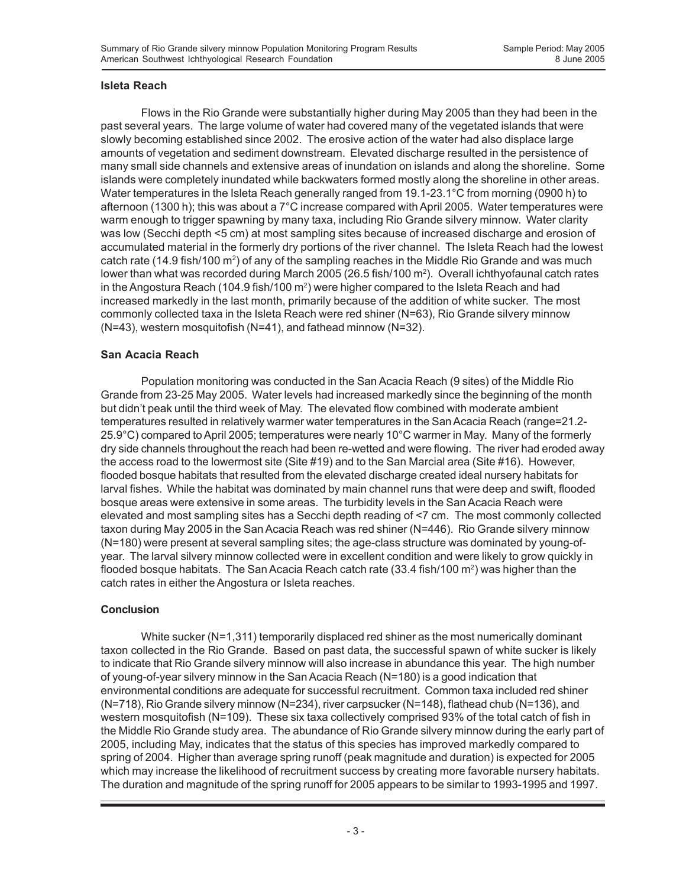#### **Isleta Reach**

Flows in the Rio Grande were substantially higher during May 2005 than they had been in the past several years. The large volume of water had covered many of the vegetated islands that were slowly becoming established since 2002. The erosive action of the water had also displace large amounts of vegetation and sediment downstream. Elevated discharge resulted in the persistence of many small side channels and extensive areas of inundation on islands and along the shoreline. Some islands were completely inundated while backwaters formed mostly along the shoreline in other areas. Water temperatures in the Isleta Reach generally ranged from 19.1-23.1°C from morning (0900 h) to afternoon (1300 h); this was about a 7°C increase compared with April 2005. Water temperatures were warm enough to trigger spawning by many taxa, including Rio Grande silvery minnow. Water clarity was low (Secchi depth <5 cm) at most sampling sites because of increased discharge and erosion of accumulated material in the formerly dry portions of the river channel. The Isleta Reach had the lowest catch rate (14.9 fish/100 m<sup>2</sup>) of any of the sampling reaches in the Middle Rio Grande and was much lower than what was recorded during March 2005 (26.5 fish/100 m<sup>2</sup>). Overall ichthyofaunal catch rates in the Angostura Reach (104.9 fish/100 m<sup>2</sup>) were higher compared to the Isleta Reach and had increased markedly in the last month, primarily because of the addition of white sucker. The most commonly collected taxa in the Isleta Reach were red shiner (N=63), Rio Grande silvery minnow (N=43), western mosquitofish (N=41), and fathead minnow (N=32).

### **San Acacia Reach**

Population monitoring was conducted in the San Acacia Reach (9 sites) of the Middle Rio Grande from 23-25 May 2005. Water levels had increased markedly since the beginning of the month but didn't peak until the third week of May. The elevated flow combined with moderate ambient temperatures resulted in relatively warmer water temperatures in the San Acacia Reach (range=21.2- 25.9°C) compared to April 2005; temperatures were nearly 10°C warmer in May. Many of the formerly dry side channels throughout the reach had been re-wetted and were flowing. The river had eroded away the access road to the lowermost site (Site #19) and to the San Marcial area (Site #16). However, flooded bosque habitats that resulted from the elevated discharge created ideal nursery habitats for larval fishes. While the habitat was dominated by main channel runs that were deep and swift, flooded bosque areas were extensive in some areas. The turbidity levels in the San Acacia Reach were elevated and most sampling sites has a Secchi depth reading of <7 cm. The most commonly collected taxon during May 2005 in the San Acacia Reach was red shiner (N=446). Rio Grande silvery minnow (N=180) were present at several sampling sites; the age-class structure was dominated by young-ofyear. The larval silvery minnow collected were in excellent condition and were likely to grow quickly in flooded bosque habitats. The San Acacia Reach catch rate  $(33.4 \text{ fish}/100 \text{ m}^2)$  was higher than the catch rates in either the Angostura or Isleta reaches.

#### **Conclusion**

White sucker (N=1,311) temporarily displaced red shiner as the most numerically dominant taxon collected in the Rio Grande. Based on past data, the successful spawn of white sucker is likely to indicate that Rio Grande silvery minnow will also increase in abundance this year. The high number of young-of-year silvery minnow in the San Acacia Reach (N=180) is a good indication that environmental conditions are adequate for successful recruitment. Common taxa included red shiner (N=718), Rio Grande silvery minnow (N=234), river carpsucker (N=148), flathead chub (N=136), and western mosquitofish (N=109). These six taxa collectively comprised 93% of the total catch of fish in the Middle Rio Grande study area. The abundance of Rio Grande silvery minnow during the early part of 2005, including May, indicates that the status of this species has improved markedly compared to spring of 2004. Higher than average spring runoff (peak magnitude and duration) is expected for 2005 which may increase the likelihood of recruitment success by creating more favorable nursery habitats. The duration and magnitude of the spring runoff for 2005 appears to be similar to 1993-1995 and 1997.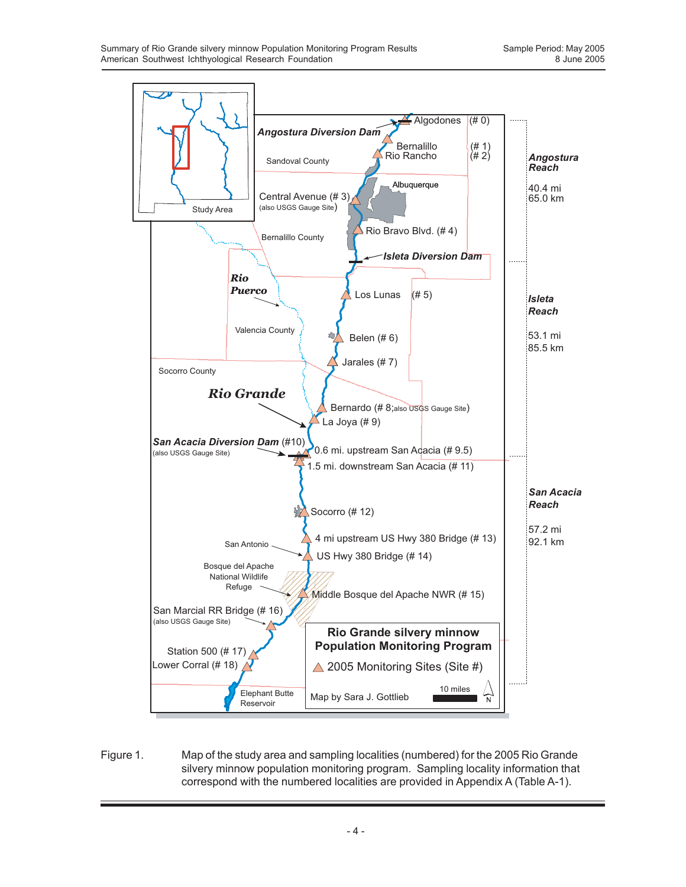

Figure 1. Map of the study area and sampling localities (numbered) for the 2005 Rio Grande silvery minnow population monitoring program. Sampling locality information that correspond with the numbered localities are provided in Appendix A (Table A-1).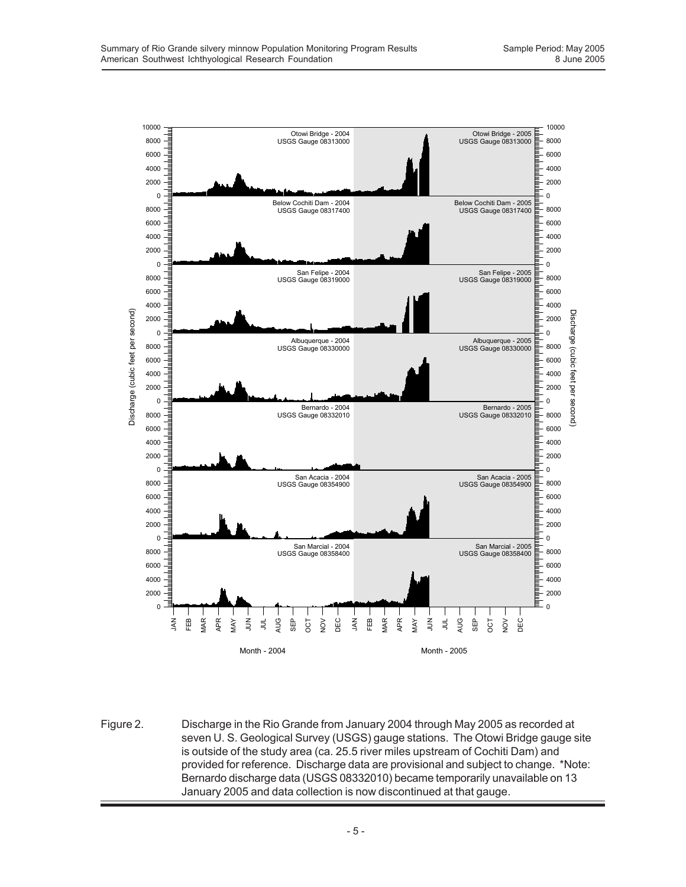

Figure 2. Discharge in the Rio Grande from January 2004 through May 2005 as recorded at seven U. S. Geological Survey (USGS) gauge stations. The Otowi Bridge gauge site is outside of the study area (ca. 25.5 river miles upstream of Cochiti Dam) and provided for reference. Discharge data are provisional and subject to change. \*Note: Bernardo discharge data (USGS 08332010) became temporarily unavailable on 13 January 2005 and data collection is now discontinued at that gauge.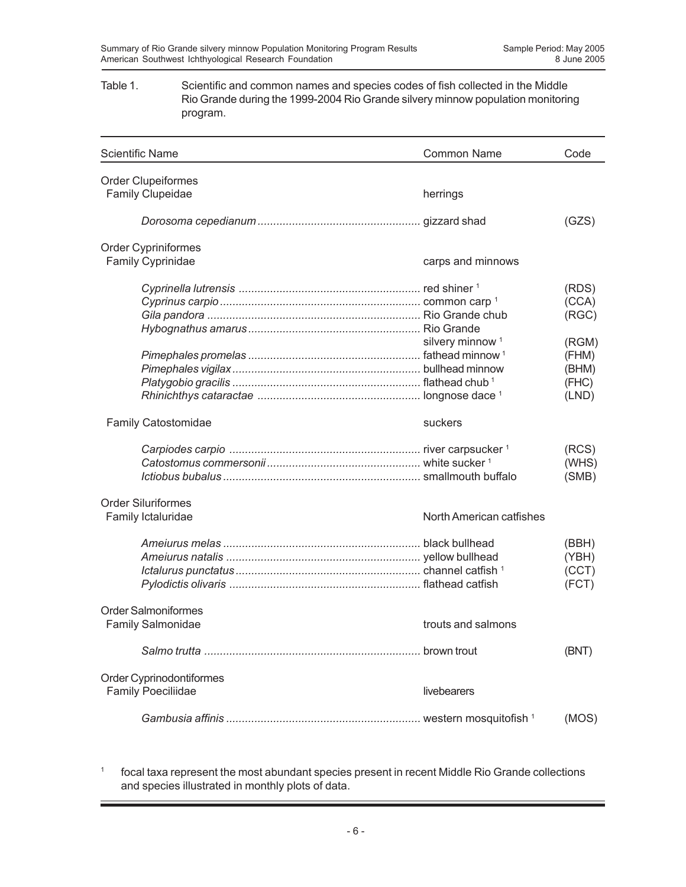#### Table 1. Scientific and common names and species codes of fish collected in the Middle Rio Grande during the 1999-2004 Rio Grande silvery minnow population monitoring program.

| <b>Scientific Name</b>                                 | <b>Common Name</b>          | Code                                      |
|--------------------------------------------------------|-----------------------------|-------------------------------------------|
| <b>Order Clupeiformes</b>                              |                             |                                           |
| Family Clupeidae                                       | herrings                    |                                           |
|                                                        |                             | (GZS)                                     |
| Order Cypriniformes                                    |                             |                                           |
| <b>Family Cyprinidae</b>                               | carps and minnows           |                                           |
|                                                        |                             | (RDS)<br>(CCA)                            |
|                                                        |                             | (RGC)                                     |
|                                                        | silvery minnow <sup>1</sup> | (RGM)<br>(FHM)<br>(BHM)<br>(FHC)<br>(LND) |
| <b>Family Catostomidae</b>                             | suckers                     |                                           |
|                                                        |                             | (RCS)<br>(WHS)<br>(SMB)                   |
| <b>Order Siluriformes</b><br>Family Ictaluridae        | North American catfishes    |                                           |
|                                                        |                             | (BBH)<br>(YBH)<br>(CCT)<br>(FCT)          |
| <b>Order Salmoniformes</b><br><b>Family Salmonidae</b> | trouts and salmons          |                                           |
|                                                        |                             | (BNT)                                     |
| Order Cyprinodontiformes<br><b>Family Poeciliidae</b>  | livebearers                 |                                           |
|                                                        |                             | (MOS)                                     |

<sup>1</sup> focal taxa represent the most abundant species present in recent Middle Rio Grande collections and species illustrated in monthly plots of data.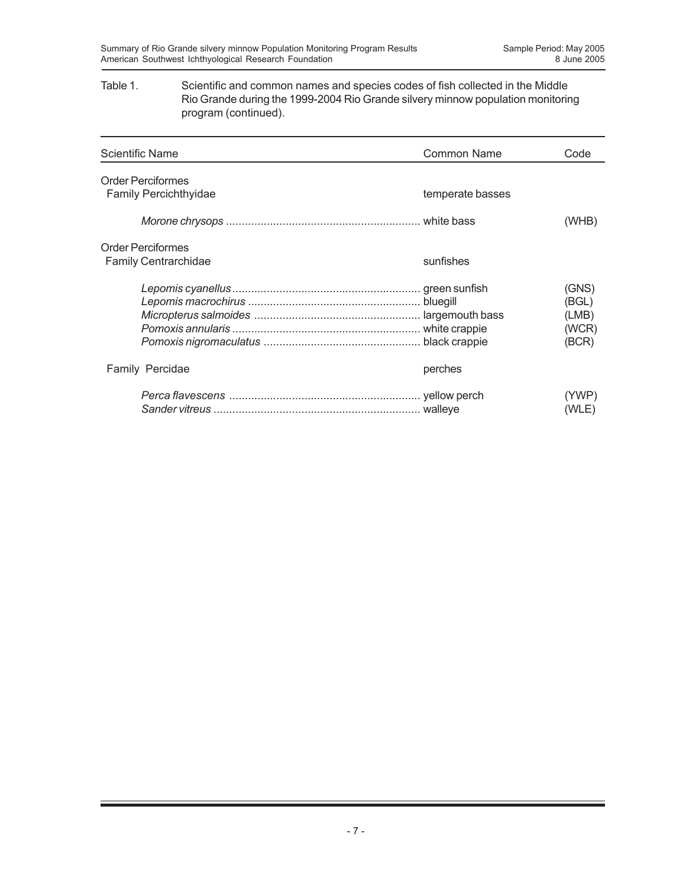#### Table 1. Scientific and common names and species codes of fish collected in the Middle Rio Grande during the 1999-2004 Rio Grande silvery minnow population monitoring program (continued).

| <b>Scientific Name</b>                                  | Common Name      | Code                                      |
|---------------------------------------------------------|------------------|-------------------------------------------|
| <b>Order Perciformes</b><br>Family Percichthyidae       | temperate basses |                                           |
|                                                         |                  | (WHB)                                     |
| <b>Order Perciformes</b><br><b>Family Centrarchidae</b> | sunfishes        |                                           |
|                                                         |                  | (GNS)<br>(BGL)<br>(LMB)<br>(WCR)<br>(BCR) |
| <b>Family Percidae</b>                                  | perches          |                                           |
|                                                         |                  | (YWP)<br>(WLE)                            |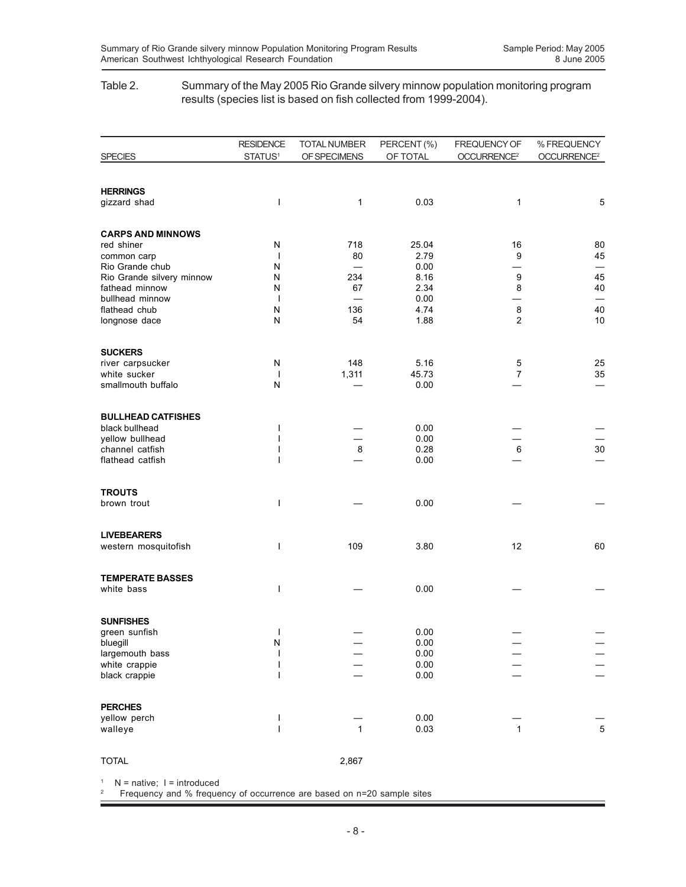#### Table 2. Summary of the May 2005 Rio Grande silvery minnow population monitoring program results (species list is based on fish collected from 1999-2004).

|                                    | <b>RESIDENCE</b>    | TOTAL NUMBER | PERCENT (%)   | FREQUENCY OF            | % FREQUENCY             |
|------------------------------------|---------------------|--------------|---------------|-------------------------|-------------------------|
| <b>SPECIES</b>                     | STATUS <sup>1</sup> | OF SPECIMENS | OF TOTAL      | OCCURRENCE <sup>2</sup> | OCCURRENCE <sup>2</sup> |
|                                    |                     |              |               |                         |                         |
| <b>HERRINGS</b>                    |                     |              |               |                         |                         |
| gizzard shad                       | $\mathbf{I}$        | 1            | 0.03          | 1                       | $\mathbf 5$             |
|                                    |                     |              |               |                         |                         |
| <b>CARPS AND MINNOWS</b>           |                     |              |               |                         |                         |
| red shiner                         | N<br>$\overline{1}$ | 718<br>80    | 25.04<br>2.79 | 16<br>9                 | 80<br>45                |
| common carp<br>Rio Grande chub     | Ν                   |              | 0.00          |                         |                         |
| Rio Grande silvery minnow          | Ν                   | 234          | 8.16          | 9                       | 45                      |
| fathead minnow                     | N                   | 67           | 2.34          | 8                       | 40                      |
| bullhead minnow                    | $\overline{1}$      |              | 0.00          |                         | $\qquad \qquad$         |
| flathead chub<br>longnose dace     | N<br>N              | 136<br>54    | 4.74<br>1.88  | 8<br>$\overline{c}$     | 40<br>10                |
|                                    |                     |              |               |                         |                         |
| <b>SUCKERS</b>                     |                     |              |               |                         |                         |
| river carpsucker                   | N                   | 148          | 5.16          | 5                       | 25                      |
| white sucker                       | $\mathbf{I}$        | 1,311        | 45.73         | $\overline{7}$          | 35                      |
| smallmouth buffalo                 | ${\sf N}$           |              | 0.00          |                         |                         |
|                                    |                     |              |               |                         |                         |
| <b>BULLHEAD CATFISHES</b>          |                     |              |               |                         |                         |
| black bullhead                     | ı                   |              | 0.00          |                         |                         |
| yellow bullhead<br>channel catfish | I                   | $\bf8$       | 0.00<br>0.28  | $\,6$                   | 30                      |
| flathead catfish                   |                     |              | 0.00          |                         |                         |
|                                    |                     |              |               |                         |                         |
| <b>TROUTS</b>                      |                     |              |               |                         |                         |
| brown trout                        | ı                   |              | 0.00          |                         |                         |
|                                    |                     |              |               |                         |                         |
| <b>LIVEBEARERS</b>                 |                     |              |               |                         |                         |
| western mosquitofish               | ı                   | 109          | 3.80          | 12                      | 60                      |
|                                    |                     |              |               |                         |                         |
| <b>TEMPERATE BASSES</b>            |                     |              |               |                         |                         |
| white bass                         | ı                   |              | 0.00          |                         |                         |
|                                    |                     |              |               |                         |                         |
| <b>SUNFISHES</b>                   |                     |              |               |                         |                         |
| green sunfish                      | ı                   |              | 0.00          |                         |                         |
| bluegill<br>largemouth bass        | N<br>I              |              | 0.00<br>0.00  |                         |                         |
| white crappie                      | $\mathsf{l}$        |              | 0.00          |                         |                         |
| black crappie                      | I                   |              | 0.00          |                         |                         |
|                                    |                     |              |               |                         |                         |
| <b>PERCHES</b>                     |                     |              |               |                         |                         |
| yellow perch                       | $\mathsf{l}$        |              | 0.00          |                         |                         |
| walleye                            | $\overline{1}$      | $\mathbf{1}$ | 0.03          | $\overline{1}$          | $\overline{5}$          |
|                                    |                     |              |               |                         |                         |
| <b>TOTAL</b>                       |                     | 2,867        |               |                         |                         |

 $1$  N = native; I = introduced

2 Frequency and % frequency of occurrence are based on n=20 sample sites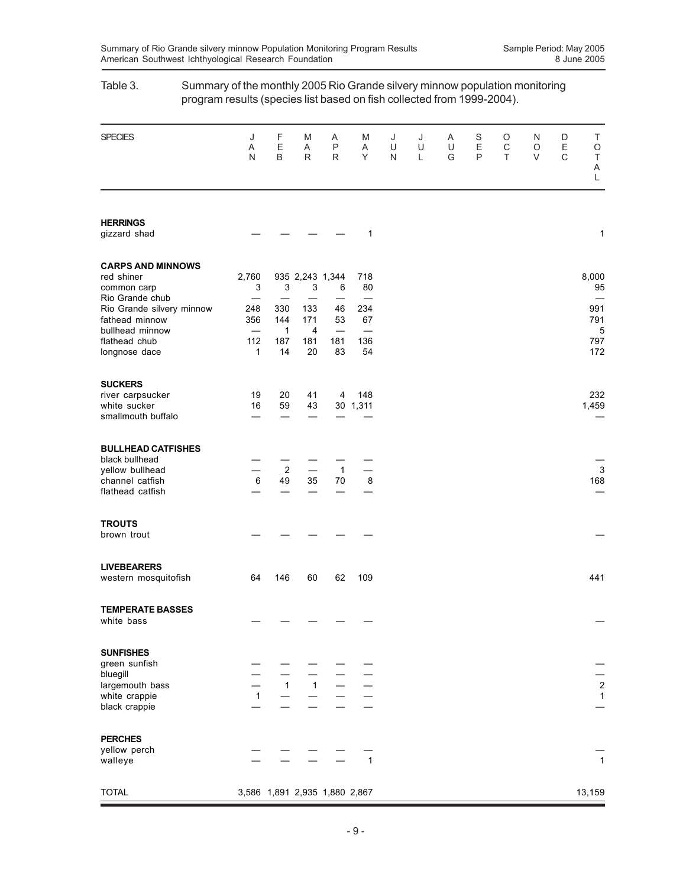|                                                                                                                     | program results (species list based on fish collected from 1999-2004). |                              |                              |                                                   |                                                    |             |             |             |             |             |             |                       |                                       |
|---------------------------------------------------------------------------------------------------------------------|------------------------------------------------------------------------|------------------------------|------------------------------|---------------------------------------------------|----------------------------------------------------|-------------|-------------|-------------|-------------|-------------|-------------|-----------------------|---------------------------------------|
| <b>SPECIES</b>                                                                                                      | J<br>Α<br>N                                                            | F<br>E<br>B                  | M<br>Α<br>$\mathsf{R}$       | A<br>P<br>$\mathsf{R}$                            | M<br>Α<br>Y                                        | J<br>U<br>N | J<br>U<br>L | A<br>U<br>G | S<br>Ε<br>P | O<br>C<br>T | N<br>O<br>V | D<br>$\mathsf E$<br>C | Τ<br>O<br>$\top$<br>A<br>L            |
| <b>HERRINGS</b><br>gizzard shad                                                                                     |                                                                        |                              |                              |                                                   | 1                                                  |             |             |             |             |             |             |                       | 1                                     |
| <b>CARPS AND MINNOWS</b><br>red shiner<br>common carp                                                               | 2,760<br>3                                                             | 3                            | 3                            | 935 2,243 1,344<br>6                              | 718<br>80                                          |             |             |             |             |             |             |                       | 8,000<br>95                           |
| Rio Grande chub<br>Rio Grande silvery minnow<br>fathead minnow<br>bullhead minnow<br>flathead chub<br>longnose dace | 248<br>356<br>$\overline{\phantom{0}}$<br>112<br>1                     | 330<br>144<br>1<br>187<br>14 | 133<br>171<br>4<br>181<br>20 | 46<br>53<br>$\overline{\phantom{0}}$<br>181<br>83 | 234<br>67<br>$\overline{\phantom{0}}$<br>136<br>54 |             |             |             |             |             |             |                       | 991<br>791<br>5<br>797<br>172         |
| <b>SUCKERS</b><br>river carpsucker<br>white sucker<br>smallmouth buffalo                                            | 19<br>16                                                               | 20<br>59                     | 41<br>43                     | 4                                                 | 148<br>30 1,311                                    |             |             |             |             |             |             |                       | 232<br>1,459                          |
| <b>BULLHEAD CATFISHES</b><br>black bullhead<br>yellow bullhead<br>channel catfish<br>flathead catfish               | 6                                                                      | $\overline{c}$<br>49         | 35                           | $\mathbf{1}$<br>70                                | 8                                                  |             |             |             |             |             |             |                       | 3<br>168                              |
| <b>TROUTS</b><br>brown trout                                                                                        |                                                                        |                              |                              |                                                   |                                                    |             |             |             |             |             |             |                       |                                       |
| <b>LIVEBEARERS</b><br>western mosquitofish                                                                          | 64                                                                     | 146                          | 60                           | 62                                                | 109                                                |             |             |             |             |             |             |                       | 441                                   |
| <b>TEMPERATE BASSES</b><br>white bass                                                                               |                                                                        |                              |                              |                                                   |                                                    |             |             |             |             |             |             |                       |                                       |
| <b>SUNFISHES</b><br>green sunfish<br>bluegill<br>largemouth bass<br>white crappie<br>black crappie                  | 1                                                                      |                              |                              | $\frac{-}{1}$ $\frac{-}{1}$ $\frac{-}{-}$         |                                                    |             |             |             |             |             |             |                       | $\begin{array}{c} 2 \\ 1 \end{array}$ |
| <b>PERCHES</b><br>yellow perch<br>walleye                                                                           |                                                                        |                              |                              |                                                   | $\overline{1}$                                     |             |             |             |             |             |             |                       | $\mathbf{1}$                          |
| <b>TOTAL</b>                                                                                                        |                                                                        |                              |                              | 3,586 1,891 2,935 1,880 2,867                     |                                                    |             |             |             |             |             |             |                       | 13,159                                |

# Table 3. Summary of the monthly 2005 Rio Grande silvery minnow population monitoring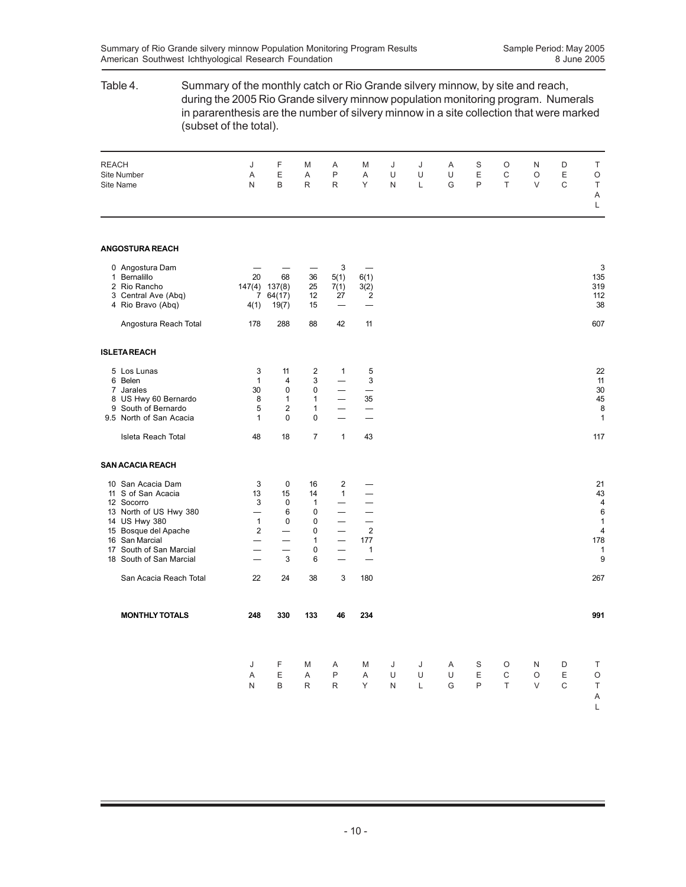## Table 4. Summary of the monthly catch or Rio Grande silvery minnow, by site and reach, during the 2005 Rio Grande silvery minnow population monitoring program. Numerals in pararenthesis are the number of silvery minnow in a site collection that were marked (subset of the total). REACH J F M A M J J A S O N D T Site Number A E A P A U U U E C O E O Site Name N B R R Y N L G P T V C T A L **ANGOSTURA REACH** 0 Angostura Dam — — — 3 — 3 1 Bernalillo 20 68 36 5(1) 6(1) 135 2 Rio Rancho 147(4) 137(8) 25 7(1) 3(2) 319<br>3 Central Ave (Abq) 7 64(17) 12 27 2 3 Central Ave (Abq) 4 Rio Bravo (Abq) 4(1) 19(7) 15 — — 38 Angostura Reach Total 178 288 88 42 11 12 17 17 17 17 17 17 17 17 17 17 18 18 19 1 **ISLETA REACH** 5 Los Lunas 3 11 2 1 5 22 6 Belen 1 4 3 — 3 11 7 Jarales 30 0 0 — — 30 v Berlin (1992)<br>
1 Use 1 1 1 1 1 1 1 1 1 35 45<br>
9 South of Bernardo 1 1 35 45<br>
9 South of Bernardo 1 5 2 1 - - 8 9 South of Bernardo  $\begin{array}{cccc} 5 & 2 & 1 & \text{---} \\ 5 & \text{North of San Accaia} & 1 & 0 & 0 & \text{---} \end{array}$ 9.5 North of San Acacia 1 0 0 — — 1 Isleta Reach Total 117 1 43 18 17 1 43 **SAN ACACIA REACH** 10 San Acacia Dam  $\begin{array}{ccccccccc}\n 10 & \text{San Acacia} & & & 3 & 0 & 16 & 2 & - \\
 11 & \text{So } \text{Can Acacia} & & & 13 & 15 & 14 & 1 & - \\
 12 & \text{Socorr} & & & 3 & 0 & 1 & - & - \\
 13 & \text{Nort of US Hwy } 380 & & & - & 6 & 0 & - & - \\
 14 &$ 11 S of San Acacia 13 15 14 1 — 12 Socorro 13 15 14 1 — 12 Socorro 14 43 12 Socorro 3 0 1 — — 4 12 Socorro<br>
13 North of US Hwy 380  $\begin{array}{cccccc} & 3 & 0 & 1 & \text{---} & \text{---} \\ - & 6 & 0 & \text{---} & \text{---} & \text{---} \\ 14 & \text{--} & 6 & 0 & \text{---} & \text{---} \\ 15 & \text{BSquare} & 6 & 1 & 0 & 0 & \text{---} \\ 16 & \text{--} & 6 & 0 & \text{---} & \text{---} \\ 17 & \text{--} & 6 & 0 & \text{---} & \text{---} \\ 18 & \text{--} & 6 & 0 &$ 14 US Hwy 380 1 0 0 - - 1<br>15 Bosque del Apache 2 - 0 - 2 15 Bosque del Apache 2 — 0 — 2 4<br>
16 San Marcial — 1 — 177 178<br>
17 South of San Marcial — 0 — 1 1<br>
18 South of San Marcial — 3 6 — — 9 9 16 San Marcial — — 1 — 177 178 17 South of San Marcial — — 0 — 1<br>18 South of San Marcial — 3 6 — — 1 18 South of San Marcial San Acacia Reach Total 22 24 38 3 180 267 **MONTHLY TOTALS 248 330 133 46 234 991** J FMA MJ J ASO ND T AEAP AUU UEC OE O NBRR YNL GPT VC T A L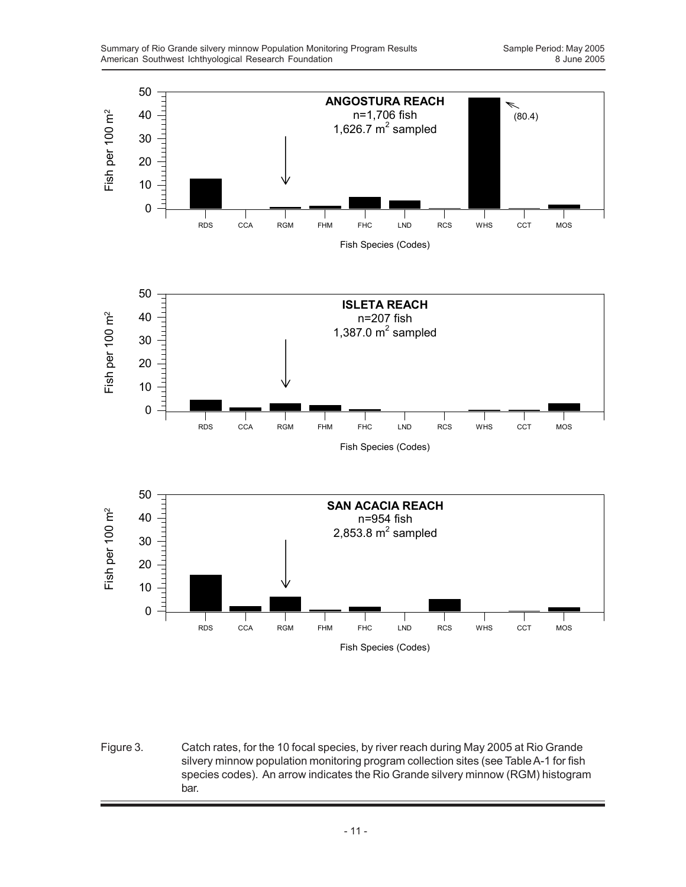

Figure 3. Catch rates, for the 10 focal species, by river reach during May 2005 at Rio Grande silvery minnow population monitoring program collection sites (see Table A-1 for fish species codes). An arrow indicates the Rio Grande silvery minnow (RGM) histogram bar.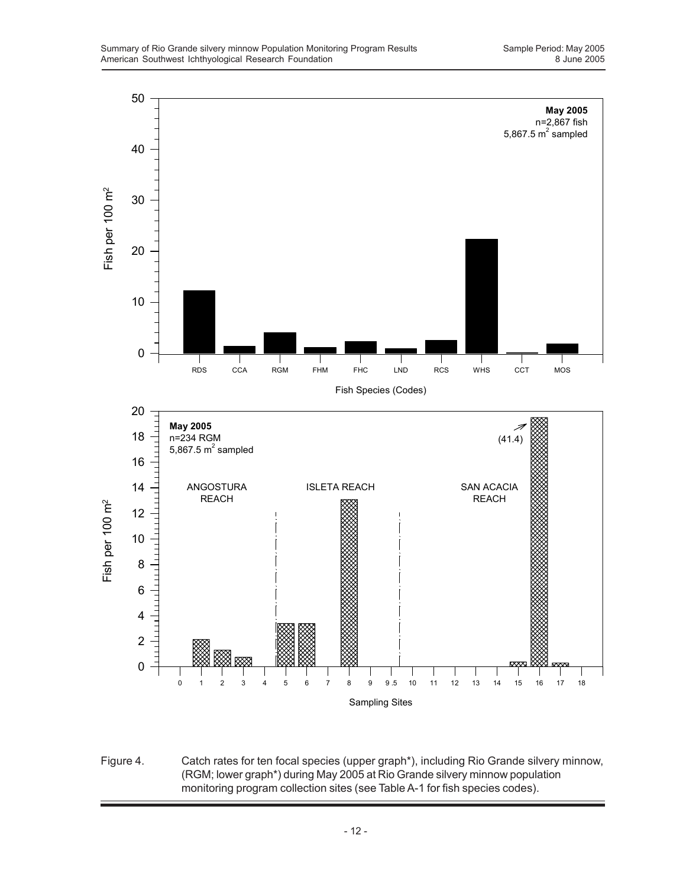

Figure 4. Catch rates for ten focal species (upper graph\*), including Rio Grande silvery minnow, (RGM; lower graph\*) during May 2005 at Rio Grande silvery minnow population monitoring program collection sites (see Table A-1 for fish species codes).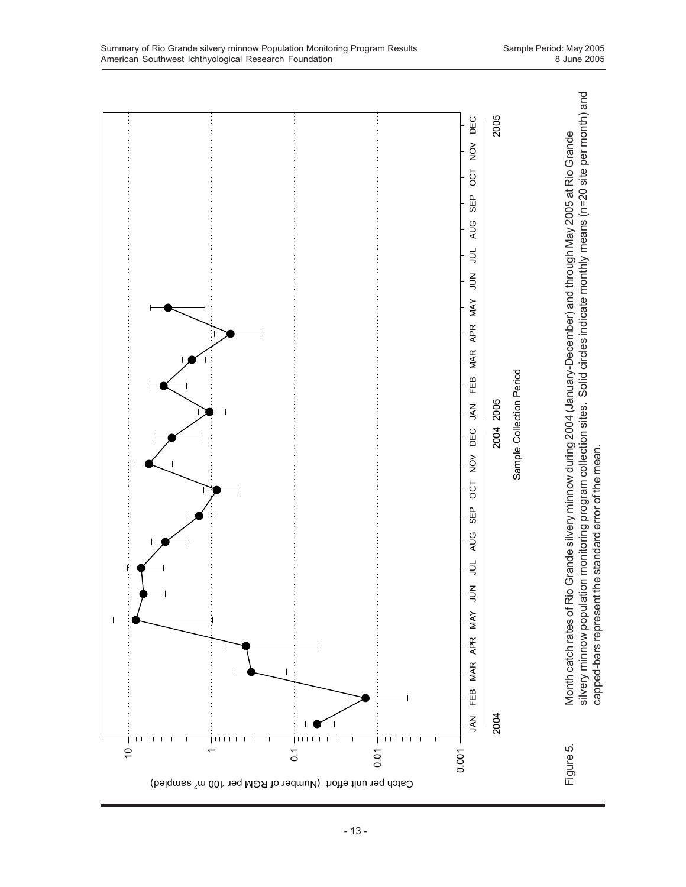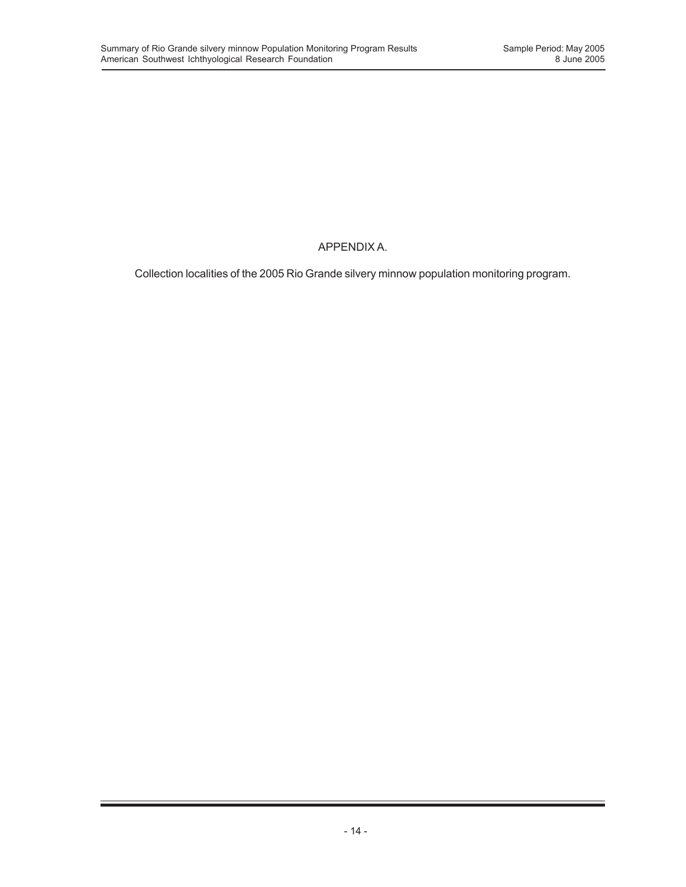## APPENDIX A.

Collection localities of the 2005 Rio Grande silvery minnow population monitoring program.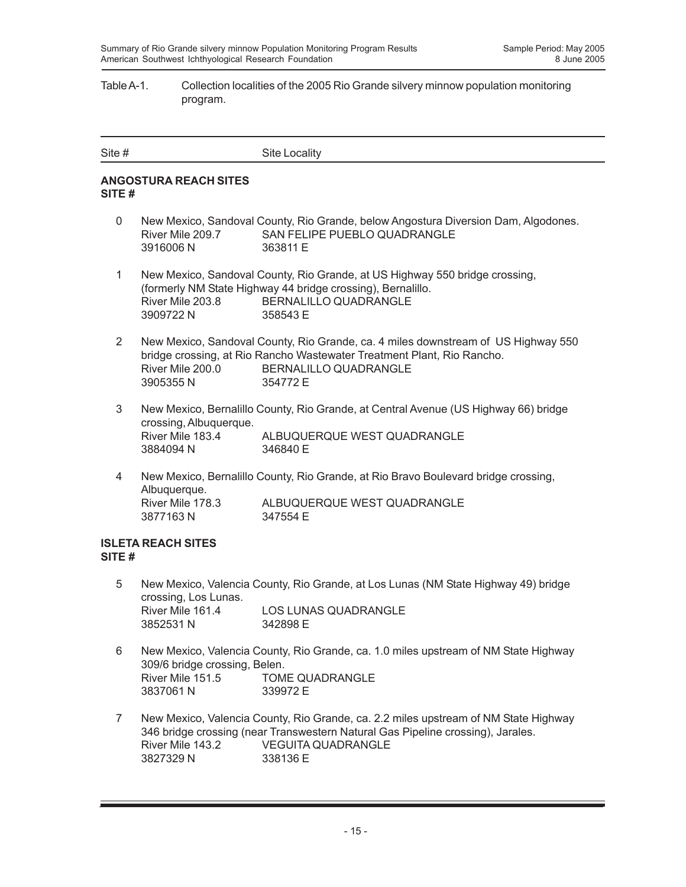#### Table A-1. Collection localities of the 2005 Rio Grande silvery minnow population monitoring program.

| Site # | Site Locality |
|--------|---------------|
|        |               |

#### **ANGOSTURA REACH SITES SITE #**

- 0 New Mexico, Sandoval County, Rio Grande, below Angostura Diversion Dam, Algodones. River Mile 209.7 SAN FELIPE PUEBLO QUADRANGLE 3916006 N 363811 E
- 1 New Mexico, Sandoval County, Rio Grande, at US Highway 550 bridge crossing, (formerly NM State Highway 44 bridge crossing), Bernalillo. River Mile 203.8 BERNALILLO QUADRANGLE 3909722 N 358543 E
- 2 New Mexico, Sandoval County, Rio Grande, ca. 4 miles downstream of US Highway 550 bridge crossing, at Rio Rancho Wastewater Treatment Plant, Rio Rancho. River Mile 200.0 BERNALILLO QUADRANGLE 3905355 N 354772 E
- 3 New Mexico, Bernalillo County, Rio Grande, at Central Avenue (US Highway 66) bridge crossing, Albuquerque. River Mile 183.4 ALBUQUERQUE WEST QUADRANGLE 3884094 N 346840 E
- 4 New Mexico, Bernalillo County, Rio Grande, at Rio Bravo Boulevard bridge crossing, Albuquerque. River Mile 178.3 ALBUQUERQUE WEST QUADRANGLE 3877163 N 347554 E

#### **ISLETA REACH SITES SITE #**

- 5 New Mexico, Valencia County, Rio Grande, at Los Lunas (NM State Highway 49) bridge crossing, Los Lunas. River Mile 161.4 LOS LUNAS QUADRANGLE 3852531 N 342898 E
- 6 New Mexico, Valencia County, Rio Grande, ca. 1.0 miles upstream of NM State Highway 309/6 bridge crossing, Belen. River Mile 151.5 TOME QUADRANGLE 3837061 N 339972 E
- 7 New Mexico, Valencia County, Rio Grande, ca. 2.2 miles upstream of NM State Highway 346 bridge crossing (near Transwestern Natural Gas Pipeline crossing), Jarales. River Mile 143.2 VEGUITA QUADRANGLE 3827329 N 338136 E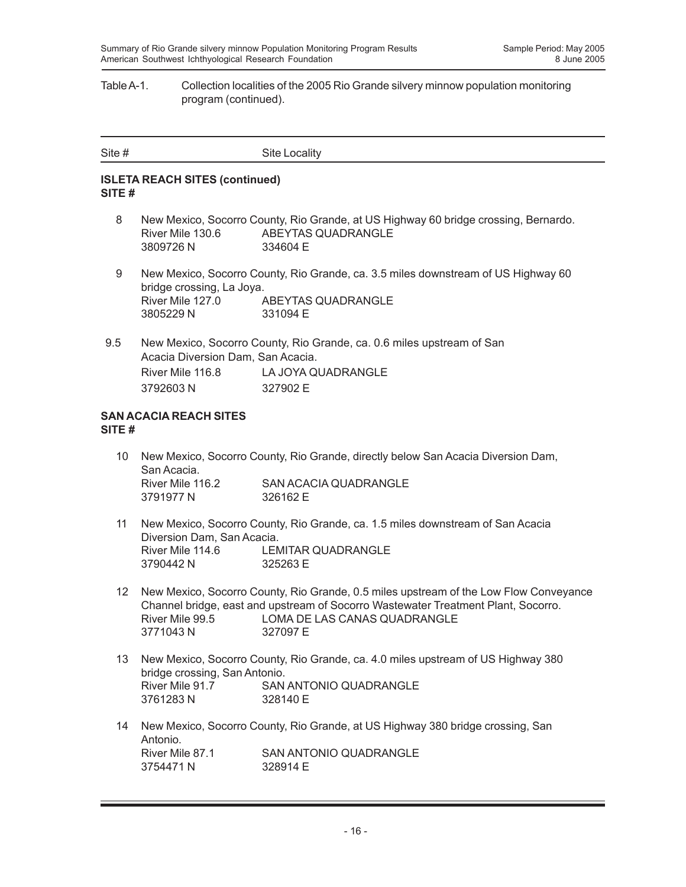#### Table A-1. Collection localities of the 2005 Rio Grande silvery minnow population monitoring program (continued).

| Site # | Site Locality |
|--------|---------------|
|        |               |

#### **ISLETA REACH SITES (continued) SITE #**

- 8 New Mexico, Socorro County, Rio Grande, at US Highway 60 bridge crossing, Bernardo. River Mile 130.6 ABEYTAS QUADRANGLE 3809726 N 334604 E
- 9 New Mexico, Socorro County, Rio Grande, ca. 3.5 miles downstream of US Highway 60 bridge crossing, La Joya. River Mile 127.0 ABEYTAS QUADRANGLE 3805229 N 331094 E
- 9.5 New Mexico, Socorro County, Rio Grande, ca. 0.6 miles upstream of San Acacia Diversion Dam, San Acacia. River Mile 116.8 LA JOYA QUADRANGLE 3792603 N 327902 E

#### **SAN ACACIA REACH SITES SITE #**

- 10 New Mexico, Socorro County, Rio Grande, directly below San Acacia Diversion Dam, San Acacia. River Mile 116.2 SAN ACACIA QUADRANGLE 3791977 N 326162 E
- 11 New Mexico, Socorro County, Rio Grande, ca. 1.5 miles downstream of San Acacia Diversion Dam, San Acacia. River Mile 114.6 LEMITAR QUADRANGLE 3790442 N 325263 E
- 12 New Mexico, Socorro County, Rio Grande, 0.5 miles upstream of the Low Flow Conveyance Channel bridge, east and upstream of Socorro Wastewater Treatment Plant, Socorro. River Mile 99.5 LOMA DE LAS CANAS QUADRANGLE 3771043 N 327097 E
- 13 New Mexico, Socorro County, Rio Grande, ca. 4.0 miles upstream of US Highway 380 bridge crossing, San Antonio. River Mile 91.7 SAN ANTONIO QUADRANGLE 3761283 N 328140 E
- 14 New Mexico, Socorro County, Rio Grande, at US Highway 380 bridge crossing, San Antonio.<br>River Mile 87.1 SAN ANTONIO QUADRANGLE 3754471 N 328914 F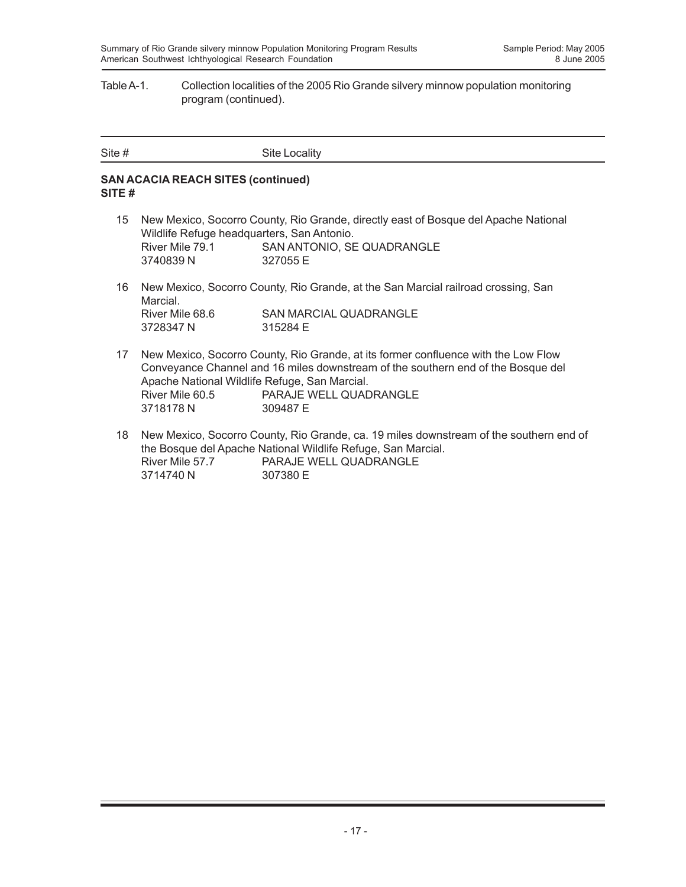#### Table A-1. Collection localities of the 2005 Rio Grande silvery minnow population monitoring program (continued).

| Site # | Site Locality |
|--------|---------------|
|        |               |

#### **SAN ACACIA REACH SITES (continued) SITE #**

- 15 New Mexico, Socorro County, Rio Grande, directly east of Bosque del Apache National Wildlife Refuge headquarters, San Antonio. River Mile 79.1 SAN ANTONIO, SE QUADRANGLE 3740839 N 327055 E
- 16 New Mexico, Socorro County, Rio Grande, at the San Marcial railroad crossing, San Marcial. River Mile 68.6 SAN MARCIAL QUADRANGLE 3728347 N 315284 E
- 17 New Mexico, Socorro County, Rio Grande, at its former confluence with the Low Flow Conveyance Channel and 16 miles downstream of the southern end of the Bosque del Apache National Wildlife Refuge, San Marcial. River Mile 60.5 PARAJE WELL QUADRANGLE 3718178 N 309487 E
- 18 New Mexico, Socorro County, Rio Grande, ca. 19 miles downstream of the southern end of the Bosque del Apache National Wildlife Refuge, San Marcial. River Mile 57.7 PARAJE WELL QUADRANGLE 3714740 N 307380 E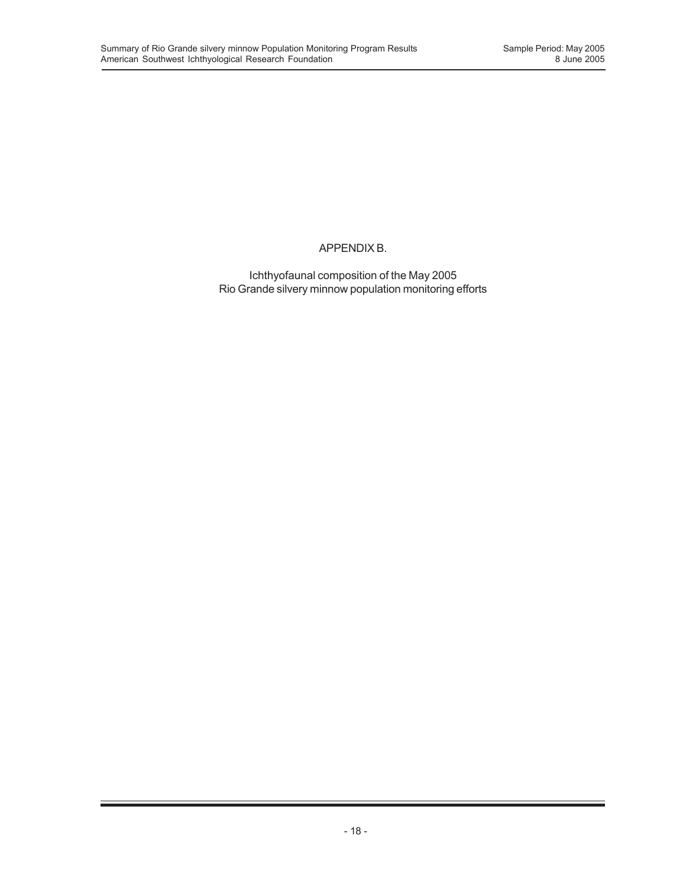## APPENDIX B.

Ichthyofaunal composition of the May 2005 Rio Grande silvery minnow population monitoring efforts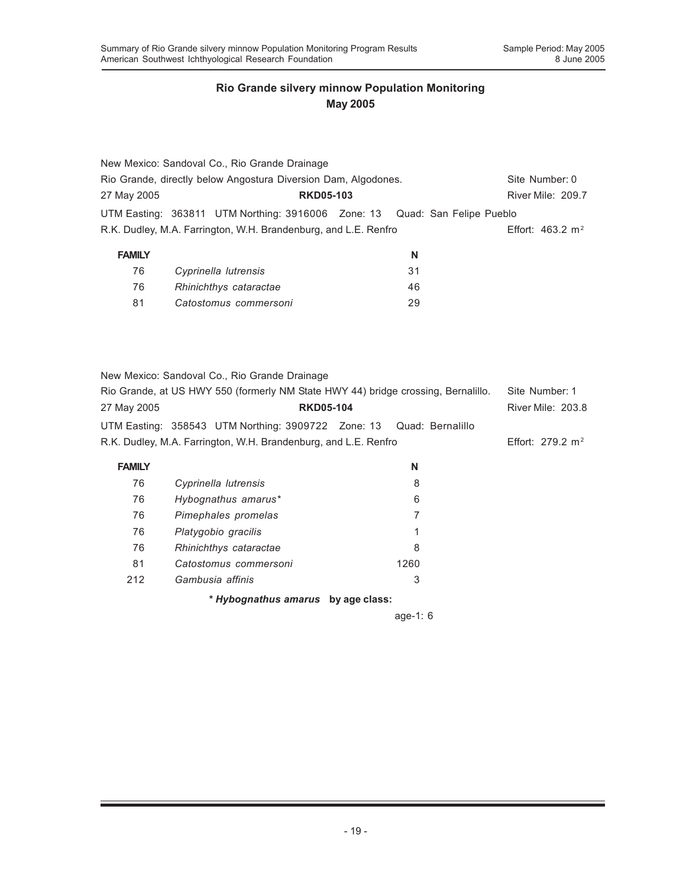|                          | New Mexico: Sandoval Co., Rio Grande Drainage                              |    |                             |
|--------------------------|----------------------------------------------------------------------------|----|-----------------------------|
|                          | Rio Grande, directly below Angostura Diversion Dam, Algodones.             |    | Site Number: 0              |
| 27 May 2005              | River Mile: 209.7                                                          |    |                             |
|                          | UTM Easting: 363811 UTM Northing: 3916006 Zone: 13 Quad: San Felipe Pueblo |    |                             |
|                          | R.K. Dudley, M.A. Farrington, W.H. Brandenburg, and L.E. Renfro            |    | Effort: $463.2 \text{ m}^2$ |
| <b>FAMILY</b>            |                                                                            | N  |                             |
| 76                       | Cyprinella lutrensis                                                       | 31 |                             |
| $\overline{\phantom{a}}$ |                                                                            |    |                             |

| 76  | Rhinichthys cataractae | 46 |
|-----|------------------------|----|
| -81 | Catostomus commersoni  | 29 |

|                                 |  | New Mexico: Sandoval Co., Rio Grande Drainage                                     |  |   |                          |
|---------------------------------|--|-----------------------------------------------------------------------------------|--|---|--------------------------|
|                                 |  | Rio Grande, at US HWY 550 (formerly NM State HWY 44) bridge crossing, Bernalillo. |  |   | Site Number: 1           |
| 27 May 2005<br><b>RKD05-104</b> |  |                                                                                   |  |   | <b>River Mile: 203.8</b> |
|                                 |  | UTM Easting: 358543 UTM Northing: 3909722 Zone: 13 Quad: Bernalillo               |  |   |                          |
|                                 |  | R.K. Dudley, M.A. Farrington, W.H. Brandenburg, and L.E. Renfro                   |  |   | Effort: 279.2 $m^2$      |
| <b>FAMILY</b>                   |  |                                                                                   |  | N |                          |
| 76                              |  | Cyprinella lutrensis                                                              |  |   |                          |

|     | * Hybognathus amarus by age class: |      |
|-----|------------------------------------|------|
| 212 | Gambusia affinis                   | 3    |
| 81  | Catostomus commersoni              | 1260 |
| 76  | Rhinichthys cataractae             | 8    |
| 76  | Platygobio gracilis                | 1    |
| 76  | Pimephales promelas                | 7    |
| 76  | Hybognathus amarus*                | 6    |
| 76  | Cyprinella lutrensis               | 8    |

age-1: 6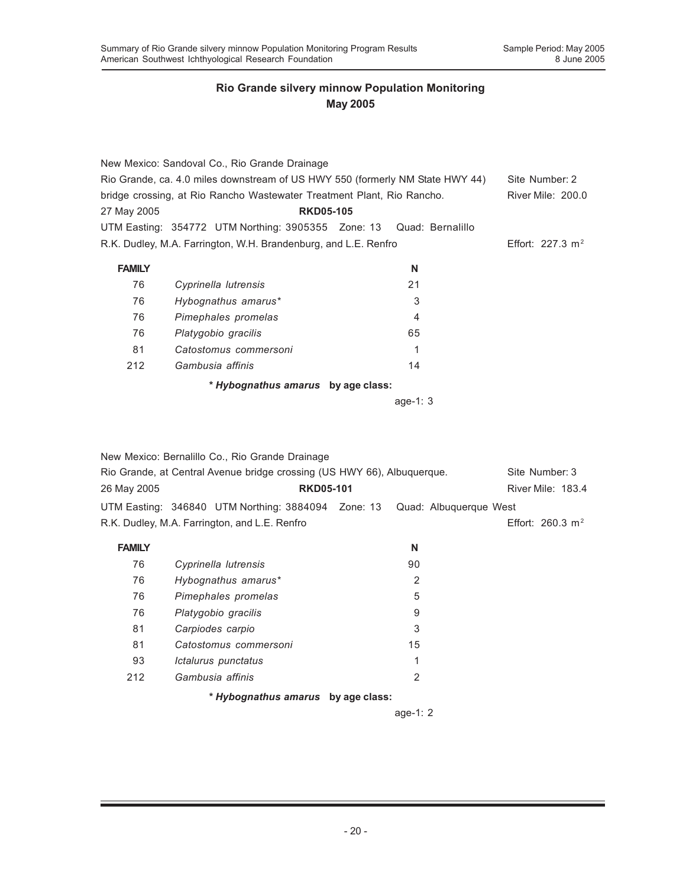|                                                                               | New Mexico: Sandoval Co., Rio Grande Drainage                          |    |                              |
|-------------------------------------------------------------------------------|------------------------------------------------------------------------|----|------------------------------|
| Rio Grande, ca. 4.0 miles downstream of US HWY 550 (formerly NM State HWY 44) | Site Number: 2                                                         |    |                              |
|                                                                               | bridge crossing, at Rio Rancho Wastewater Treatment Plant, Rio Rancho. |    | <b>River Mile: 200.0</b>     |
| 27 May 2005                                                                   | <b>RKD05-105</b>                                                       |    |                              |
|                                                                               | UTM Easting: 354772 UTM Northing: 3905355 Zone: 13 Quad: Bernalillo    |    |                              |
|                                                                               | R.K. Dudley, M.A. Farrington, W.H. Brandenburg, and L.E. Renfro        |    | Effort: 227.3 m <sup>2</sup> |
|                                                                               |                                                                        |    |                              |
| <b>FAMILY</b>                                                                 |                                                                        | N  |                              |
| 76                                                                            | Cyprinella lutrensis                                                   | 21 |                              |
| 76                                                                            | Hybognathus amarus*                                                    | 3  |                              |
| 76                                                                            | Pimephales promelas                                                    | 4  |                              |
| 76                                                                            | Platygobio gracilis                                                    | 65 |                              |
| 81                                                                            | Catostomus commersoni                                                  | 1  |                              |
| 212                                                                           | Gambusia affinis                                                       | 14 |                              |
|                                                                               | * Hybognathus amarus by age class:                                     |    |                              |

age-1: 3

|               | New Mexico: Bernalillo Co., Rio Grande Drainage                         |                |                        |
|---------------|-------------------------------------------------------------------------|----------------|------------------------|
|               | Rio Grande, at Central Avenue bridge crossing (US HWY 66), Albuquerque. |                | Site Number: 3         |
| 26 May 2005   | <b>RKD05-101</b>                                                        |                | River Mile: 183.4      |
|               | UTM Easting: 346840 UTM Northing: 3884094 Zone: 13                      |                | Quad: Albuguergue West |
|               | R.K. Dudley, M.A. Farrington, and L.E. Renfro                           |                | Effort: 260.3 $m^2$    |
| <b>FAMILY</b> |                                                                         | N              |                        |
| 76            | Cyprinella lutrensis                                                    | 90             |                        |
| 76            | Hybognathus amarus*                                                     | $\overline{2}$ |                        |
| 76            | Pimephales promelas                                                     | 5              |                        |
| 76            | Platygobio gracilis                                                     | 9              |                        |
| 81            | Carpiodes carpio                                                        | 3              |                        |
| 81            | Catostomus commersoni                                                   | 15             |                        |
| 93            | Ictalurus punctatus                                                     | 1              |                        |
| 212           | Gambusia affinis                                                        | $\mathbf{2}$   |                        |
|               | * Hybognathus amarus by age class:                                      |                |                        |

age-1: 2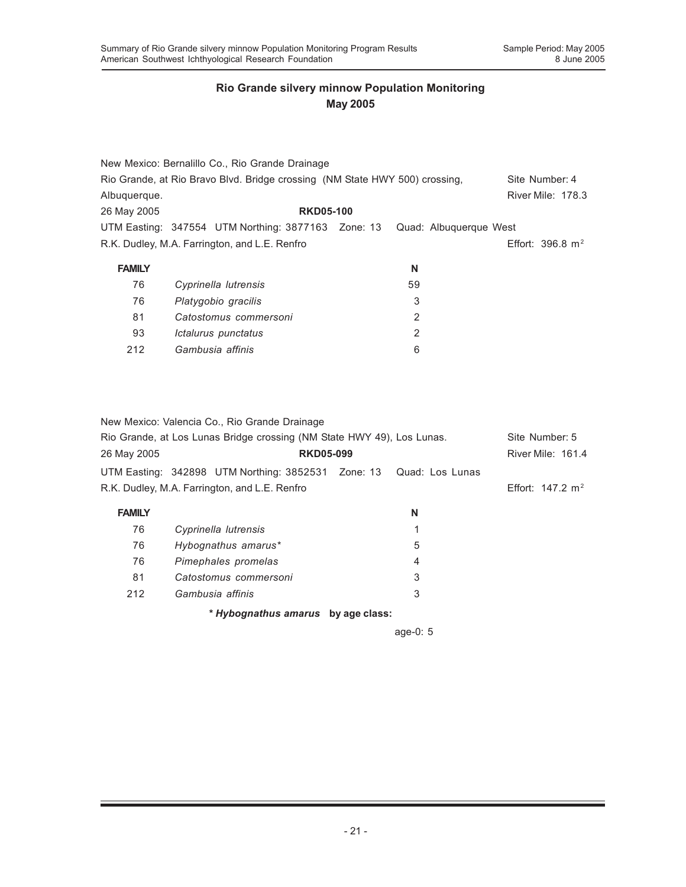|               | New Mexico: Bernalillo Co., Rio Grande Drainage                             |                        |                             |
|---------------|-----------------------------------------------------------------------------|------------------------|-----------------------------|
|               | Rio Grande, at Rio Bravo Blvd. Bridge crossing (NM State HWY 500) crossing, |                        | Site Number: 4              |
| Albuguergue.  |                                                                             |                        | <b>River Mile: 178.3</b>    |
| 26 May 2005   | <b>RKD05-100</b>                                                            |                        |                             |
|               | UTM Easting: 347554 UTM Northing: 3877163 Zone: 13                          | Quad: Albuguergue West |                             |
|               | R.K. Dudley, M.A. Farrington, and L.E. Renfro                               |                        | Effort: $396.8 \text{ m}^2$ |
| <b>FAMILY</b> |                                                                             | N                      |                             |
| 76            | Cyprinella lutrensis                                                        | 59                     |                             |
| 76            | Platygobio gracilis                                                         | 3                      |                             |
| 81            | Catostomus commersoni                                                       | 2                      |                             |
| 93            | Ictalurus punctatus                                                         | 2                      |                             |
| 212           | Gambusia affinis                                                            | 6                      |                             |

New Mexico: Valencia Co., Rio Grande Drainage

| Rio Grande, at Los Lunas Bridge crossing (NM State HWY 49), Los Lunas. |                                                                    |  |          | Site Number: 5              |
|------------------------------------------------------------------------|--------------------------------------------------------------------|--|----------|-----------------------------|
| 26 May 2005                                                            | <b>RKD05-099</b>                                                   |  |          | <b>River Mile: 161.4</b>    |
|                                                                        | UTM Easting: 342898 UTM Northing: 3852531 Zone: 13 Quad: Los Lunas |  |          |                             |
|                                                                        | R.K. Dudley, M.A. Farrington, and L.E. Renfro                      |  |          | Effort: $147.2 \text{ m}^2$ |
| <b>FAMILY</b>                                                          |                                                                    |  | N        |                             |
| 76                                                                     | Cyprinella lutrensis                                               |  |          |                             |
| 76                                                                     | Hybognathus amarus*                                                |  | 5        |                             |
| 76                                                                     | Pimephales promelas                                                |  | 4        |                             |
| 81                                                                     | Catostomus commersoni                                              |  | 3        |                             |
| 212                                                                    | Gambusia affinis                                                   |  | 3        |                             |
|                                                                        | * Hybognathus amarus by age class:                                 |  |          |                             |
|                                                                        |                                                                    |  | age-0: 5 |                             |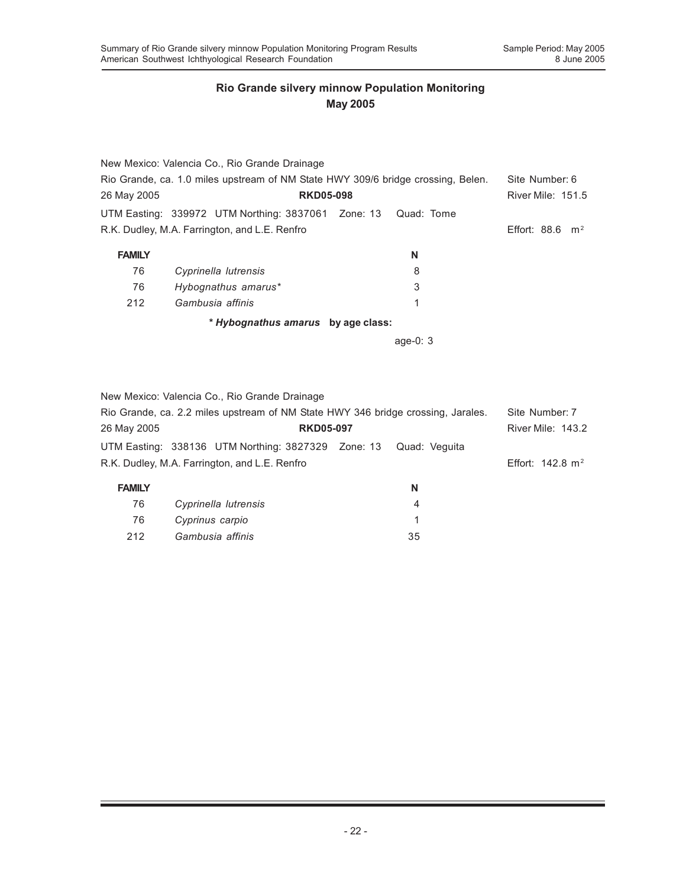|               | New Mexico: Valencia Co., Rio Grande Drainage                                    |            |                            |
|---------------|----------------------------------------------------------------------------------|------------|----------------------------|
|               | Rio Grande, ca. 1.0 miles upstream of NM State HWY 309/6 bridge crossing, Belen. |            | Site Number: 6             |
| 26 May 2005   | <b>RKD05-098</b>                                                                 |            | <b>River Mile: 151.5</b>   |
|               | UTM Easting: 339972 UTM Northing: 3837061 Zone: 13                               | Quad: Tome |                            |
|               | R.K. Dudley, M.A. Farrington, and L.E. Renfro                                    |            | Effort: $88.6 \text{ m}^2$ |
| <b>FAMILY</b> |                                                                                  | N          |                            |
| 76            | Cyprinella lutrensis                                                             | 8          |                            |
| 76            | Hybognathus amarus*                                                              | 3          |                            |
| 212           | Gambusia affinis                                                                 | 1          |                            |
|               | * Hybognathus amarus by age class:                                               |            |                            |
|               |                                                                                  | age-0: $3$ |                            |
|               |                                                                                  |            |                            |
|               |                                                                                  |            |                            |
|               | New Mexico: Valencia Co., Rio Grande Drainage                                    |            |                            |
|               | Rio Grande, ca. 2.2 miles unstream of NM State HWY 346 bridge crossing. Jarales  |            | Site Number 7              |

| Rio Grande, ca. 2.2 miles upstream of NM State HWY 346 bridge crossing, Jarales. |                                                                  |                  | Site Number: 7 |                             |
|----------------------------------------------------------------------------------|------------------------------------------------------------------|------------------|----------------|-----------------------------|
| 26 May 2005                                                                      |                                                                  | <b>RKD05-097</b> |                |                             |
|                                                                                  | UTM Easting: 338136 UTM Northing: 3827329 Zone: 13 Quad: Veguita |                  |                |                             |
|                                                                                  | R.K. Dudley, M.A. Farrington, and L.E. Renfro                    |                  |                | Effort: $142.8 \text{ m}^2$ |
| <b>FAMILY</b>                                                                    |                                                                  |                  | N              |                             |
| 76                                                                               | Cyprinella lutrensis                                             |                  | 4              |                             |
| 76                                                                               | Cyprinus carpio                                                  |                  |                |                             |
| 212                                                                              | Gambusia affinis                                                 |                  | 35             |                             |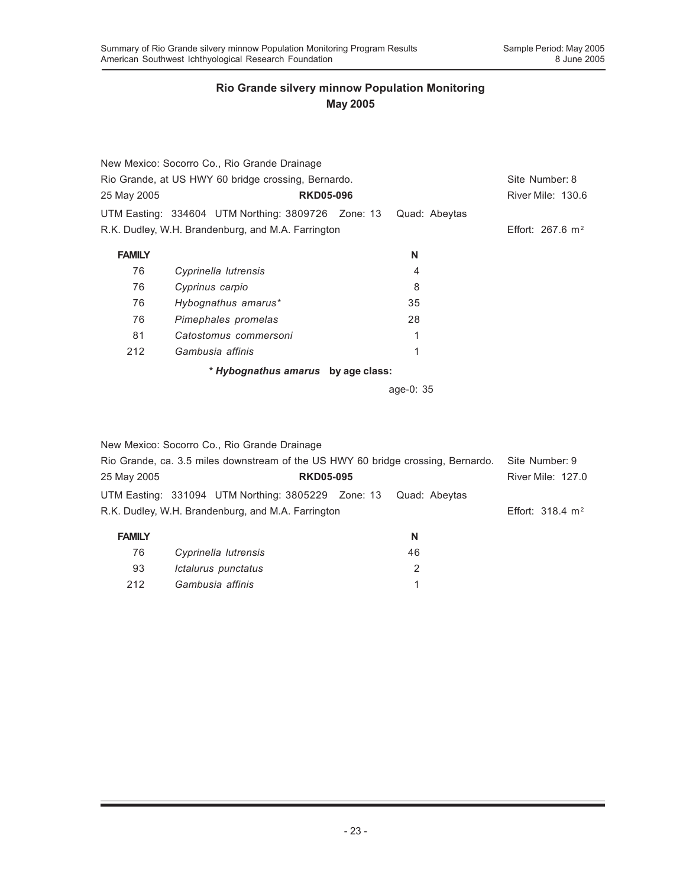|               | New Mexico: Socorro Co., Rio Grande Drainage        |               |                          |
|---------------|-----------------------------------------------------|---------------|--------------------------|
|               | Rio Grande, at US HWY 60 bridge crossing, Bernardo. |               | Site Number: 8           |
| 25 May 2005   | <b>RKD05-096</b>                                    |               | <b>River Mile: 130.6</b> |
|               | UTM Easting: 334604 UTM Northing: 3809726 Zone: 13  | Quad: Abeytas |                          |
|               | R.K. Dudley, W.H. Brandenburg, and M.A. Farrington  |               | Effort: 267.6 $m2$       |
| <b>FAMILY</b> |                                                     | N             |                          |
| 76            | Cyprinella lutrensis                                | 4             |                          |
| 76            | Cyprinus carpio                                     | 8             |                          |
| 76            | Hybognathus amarus*                                 | 35            |                          |
| 76            | Pimephales promelas                                 | 28            |                          |
| 81            | Catostomus commersoni                               | 1             |                          |
| 212           | Gambusia affinis                                    | 1             |                          |
|               | * Hybognathus amarus by age class:                  |               |                          |
|               |                                                     | age-0: 35     |                          |
|               |                                                     |               |                          |

|                                                    | New Mexico: Socorro Co., Rio Grande Drainage                                     |                  |                             |                |
|----------------------------------------------------|----------------------------------------------------------------------------------|------------------|-----------------------------|----------------|
|                                                    | Rio Grande, ca. 3.5 miles downstream of the US HWY 60 bridge crossing, Bernardo. |                  |                             | Site Number: 9 |
| 25 May 2005                                        |                                                                                  | <b>RKD05-095</b> |                             |                |
|                                                    | UTM Easting: 331094 UTM Northing: 3805229 Zone: 13                               |                  | Quad: Abeytas               |                |
| R.K. Dudley, W.H. Brandenburg, and M.A. Farrington |                                                                                  |                  | Effort: $318.4 \text{ m}^2$ |                |
| <b>FAMILY</b>                                      |                                                                                  |                  | N                           |                |
| 76                                                 | Cyprinella lutrensis                                                             |                  | 46                          |                |
| 93                                                 | Ictalurus punctatus                                                              |                  | $\overline{2}$              |                |
| 212                                                | Gambusia affinis                                                                 |                  | 1                           |                |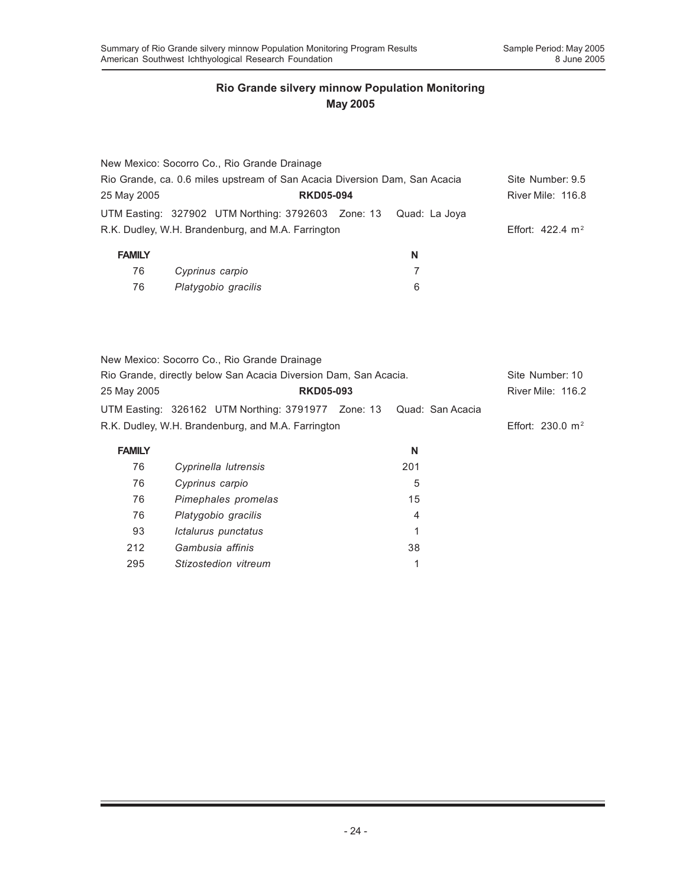| New Mexico: Socorro Co., Rio Grande Drainage                               |                  |   |                             |
|----------------------------------------------------------------------------|------------------|---|-----------------------------|
| Rio Grande, ca. 0.6 miles upstream of San Acacia Diversion Dam, San Acacia |                  |   | Site Number: 9.5            |
| 25 May 2005                                                                | <b>RKD05-094</b> |   | River Mile: 116.8           |
| UTM Easting: 327902 UTM Northing: 3792603 Zone: 13 Quad: La Joya           |                  |   |                             |
| R.K. Dudley, W.H. Brandenburg, and M.A. Farrington                         |                  |   | Effort: $422.4 \text{ m}^2$ |
| <b>FAMILY</b>                                                              |                  | N |                             |
|                                                                            |                  |   |                             |

| 76 | Cyprinus carpio     |  |
|----|---------------------|--|
| 76 | Platygobio gracilis |  |

| New Mexico: Socorro Co., Rio Grande Drainage                        |                  |                     |
|---------------------------------------------------------------------|------------------|---------------------|
| Rio Grande, directly below San Acacia Diversion Dam, San Acacia.    |                  | Site Number: 10     |
| 25 May 2005                                                         | <b>RKD05-093</b> | River Mile: 116.2   |
| UTM Easting: 326162 UTM Northing: 3791977 Zone: 13 Quad: San Acacia |                  |                     |
| R.K. Dudley, W.H. Brandenburg, and M.A. Farrington                  |                  | Effort: 230.0 $m^2$ |

| <b>FAMILY</b> |                      | N   |
|---------------|----------------------|-----|
| 76            | Cyprinella lutrensis | 201 |
| 76            | Cyprinus carpio      | 5   |
| 76            | Pimephales promelas  | 15  |
| 76            | Platygobio gracilis  | 4   |
| 93            | Ictalurus punctatus  |     |
| 212           | Gambusia affinis     | 38  |
| 295           | Stizostedion vitreum |     |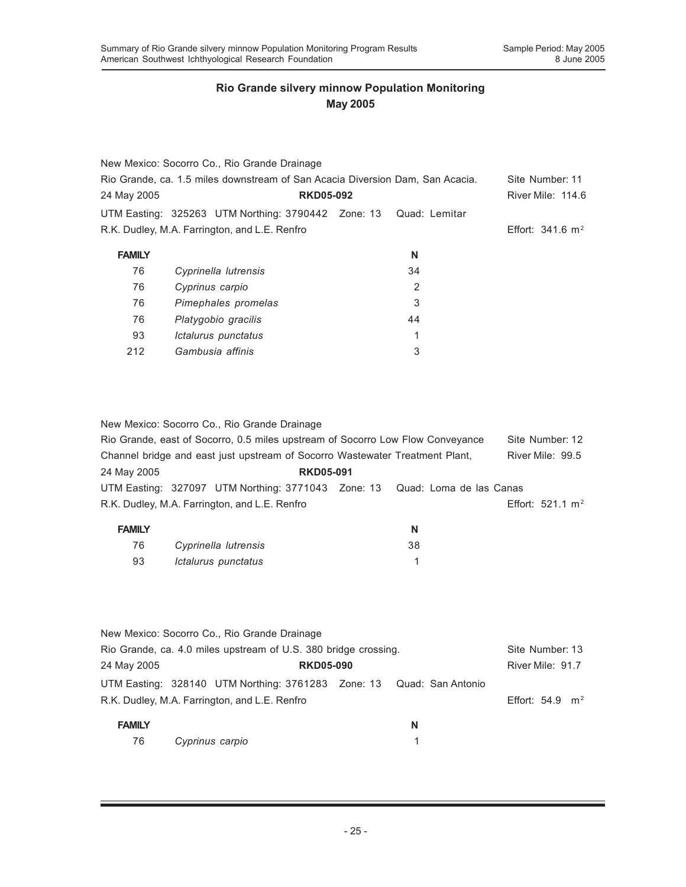|               | New Mexico: Socorro Co., Rio Grande Drainage                                  |    |                             |
|---------------|-------------------------------------------------------------------------------|----|-----------------------------|
|               | Rio Grande, ca. 1.5 miles downstream of San Acacia Diversion Dam, San Acacia. |    | Site Number: 11             |
| 24 May 2005   | <b>RKD05-092</b>                                                              |    | <b>River Mile: 114.6</b>    |
|               | UTM Easting: 325263 UTM Northing: 3790442 Zone: 13 Quad: Lemitar              |    |                             |
|               | R.K. Dudley, M.A. Farrington, and L.E. Renfro                                 |    | Effort: $341.6 \text{ m}^2$ |
| <b>FAMILY</b> |                                                                               | N  |                             |
| 76            | Cyprinella lutrensis                                                          | 34 |                             |
| 76            | Cyprinus carpio                                                               | 2  |                             |
| 76            | Pimephales promelas                                                           | 3  |                             |
| 76            | Platygobio gracilis                                                           | 44 |                             |
| 93            | Ictalurus punctatus                                                           | 1  |                             |
| 212           | Gambusia affinis                                                              | 3  |                             |

| New Mexico: Socorro Co., Rio Grande Drainage |  |
|----------------------------------------------|--|
|----------------------------------------------|--|

|               | Rio Grande, east of Socorro, 0.5 miles upstream of Socorro Low Flow Conveyance |    |  | Site Number: 12             |
|---------------|--------------------------------------------------------------------------------|----|--|-----------------------------|
|               | Channel bridge and east just upstream of Socorro Wastewater Treatment Plant,   |    |  | River Mile: 99.5            |
| 24 May 2005   | <b>RKD05-091</b>                                                               |    |  |                             |
|               | UTM Easting: 327097 UTM Northing: 3771043 Zone: 13 Quad: Loma de las Canas     |    |  |                             |
|               | R.K. Dudley, M.A. Farrington, and L.E. Renfro                                  |    |  | Effort: $521.1 \text{ m}^2$ |
| <b>FAMILY</b> |                                                                                | N  |  |                             |
| 76            | Cyprinella lutrensis                                                           | 38 |  |                             |

93 *Ictalurus punctatus* 1

|               | New Mexico: Socorro Co., Rio Grande Drainage                         |   |                            |  |
|---------------|----------------------------------------------------------------------|---|----------------------------|--|
|               | Rio Grande, ca. 4.0 miles upstream of U.S. 380 bridge crossing.      |   | Site Number: 13            |  |
| 24 May 2005   | <b>RKD05-090</b>                                                     |   | River Mile: 91.7           |  |
|               | UTM Easting: 328140 UTM Northing: 3761283 Zone: 13 Quad: San Antonio |   |                            |  |
|               | R.K. Dudley, M.A. Farrington, and L.E. Renfro                        |   | Effort: $54.9 \text{ m}^2$ |  |
| <b>FAMILY</b> |                                                                      | N |                            |  |
| 76            | Cyprinus carpio                                                      |   |                            |  |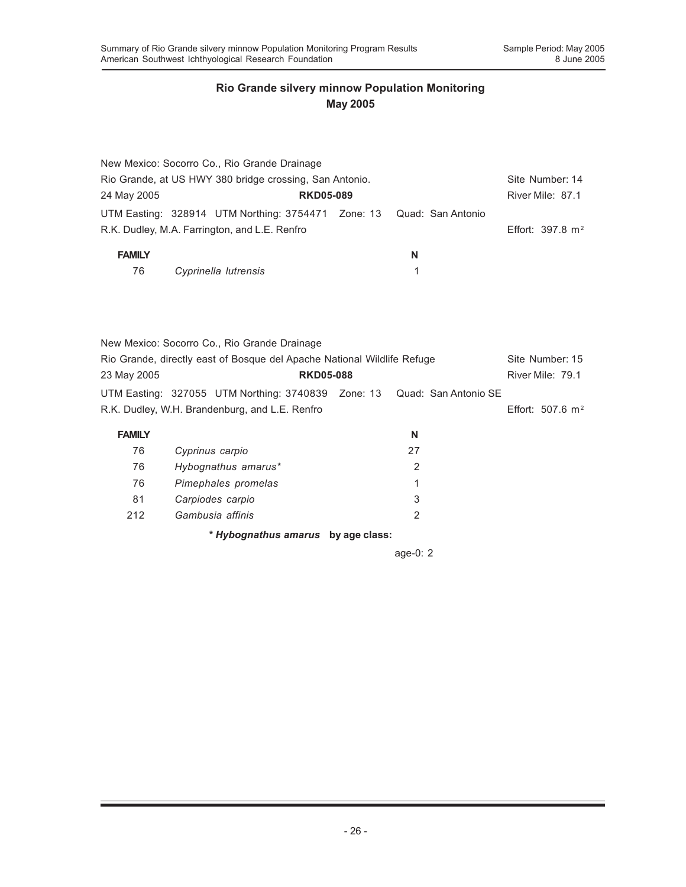|                                                         | New Mexico: Socorro Co., Rio Grande Drainage                         |  |   |                             |
|---------------------------------------------------------|----------------------------------------------------------------------|--|---|-----------------------------|
| Rio Grande, at US HWY 380 bridge crossing, San Antonio. |                                                                      |  |   | Site Number: 14             |
| 24 May 2005                                             | <b>RKD05-089</b>                                                     |  |   | River Mile: 87.1            |
|                                                         | UTM Easting: 328914 UTM Northing: 3754471 Zone: 13 Quad: San Antonio |  |   |                             |
|                                                         | R.K. Dudley, M.A. Farrington, and L.E. Renfro                        |  |   | Effort: $397.8 \text{ m}^2$ |
| <b>FAMILY</b>                                           |                                                                      |  | N |                             |
| 76                                                      | Cyprinella lutrensis                                                 |  |   |                             |

|               | New Mexico: Socorro Co., Rio Grande Drainage                                                                              |   |                    |  |
|---------------|---------------------------------------------------------------------------------------------------------------------------|---|--------------------|--|
|               | Rio Grande, directly east of Bosque del Apache National Wildlife Refuge                                                   |   | Site Number: 15    |  |
| 23 May 2005   | <b>RKD05-088</b>                                                                                                          |   | River Mile: 79.1   |  |
|               | UTM Easting: 327055 UTM Northing: 3740839 Zone: 13 Quad: San Antonio SE<br>R.K. Dudley, W.H. Brandenburg, and L.E. Renfro |   | Effort: 507.6 $m2$ |  |
| <b>FAMILY</b> |                                                                                                                           | N |                    |  |

| <u> AWILI</u> |                                    |    |  |
|---------------|------------------------------------|----|--|
| 76            | Cyprinus carpio                    | 27 |  |
| 76            | Hybognathus amarus*                |    |  |
| 76            | Pimephales promelas                |    |  |
| 81            | Carpiodes carpio                   | 3  |  |
| 212           | Gambusia affinis                   |    |  |
|               | * Hybognathus amarus by age class: |    |  |

age-0: 2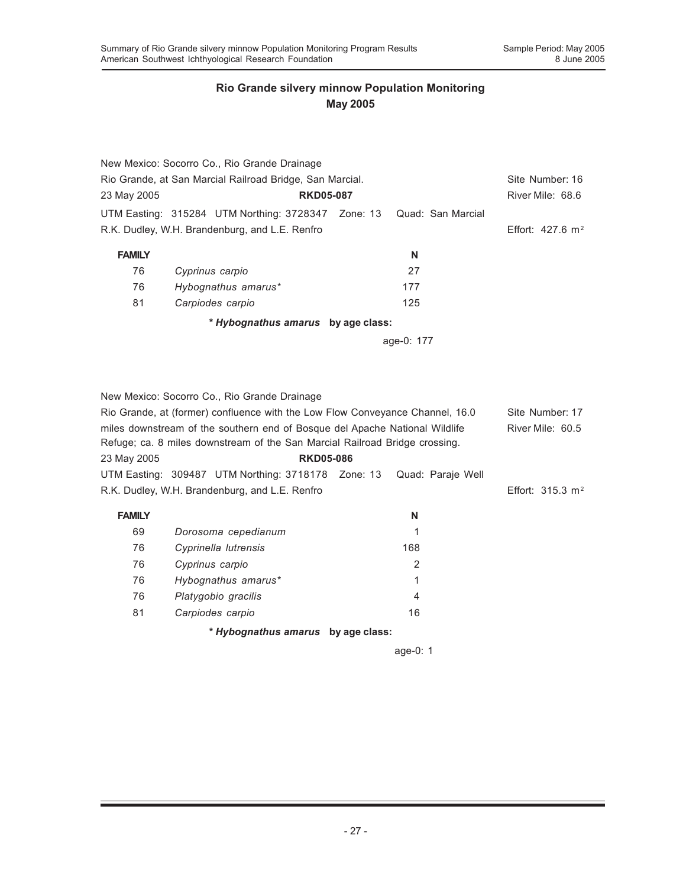|                                                          | New Mexico: Socorro Co., Rio Grande Drainage                                                                                                               |                                    |                   |                             |  |  |  |
|----------------------------------------------------------|------------------------------------------------------------------------------------------------------------------------------------------------------------|------------------------------------|-------------------|-----------------------------|--|--|--|
| Rio Grande, at San Marcial Railroad Bridge, San Marcial. | Site Number: 16                                                                                                                                            |                                    |                   |                             |  |  |  |
| 23 May 2005                                              | <b>RKD05-087</b>                                                                                                                                           |                                    |                   | River Mile: 68.6            |  |  |  |
|                                                          | UTM Easting: 315284 UTM Northing: 3728347 Zone: 13                                                                                                         |                                    | Quad: San Marcial |                             |  |  |  |
|                                                          | R.K. Dudley, W.H. Brandenburg, and L.E. Renfro                                                                                                             |                                    |                   | Effort: $427.6 \text{ m}^2$ |  |  |  |
| <b>FAMILY</b>                                            |                                                                                                                                                            |                                    | N                 |                             |  |  |  |
| 76                                                       | Cyprinus carpio                                                                                                                                            |                                    | 27                |                             |  |  |  |
| 76                                                       | Hybognathus amarus*                                                                                                                                        |                                    | 177               |                             |  |  |  |
| 81                                                       | Carpiodes carpio                                                                                                                                           |                                    | 125               |                             |  |  |  |
|                                                          | * Hybognathus amarus by age class:                                                                                                                         |                                    |                   |                             |  |  |  |
|                                                          |                                                                                                                                                            |                                    | age-0: 177        |                             |  |  |  |
|                                                          |                                                                                                                                                            |                                    |                   |                             |  |  |  |
|                                                          |                                                                                                                                                            |                                    |                   |                             |  |  |  |
|                                                          | New Mexico: Socorro Co., Rio Grande Drainage                                                                                                               |                                    |                   |                             |  |  |  |
|                                                          | Rio Grande, at (former) confluence with the Low Flow Conveyance Channel, 16.0                                                                              |                                    |                   | Site Number: 17             |  |  |  |
|                                                          | miles downstream of the southern end of Bosque del Apache National Wildlife<br>Refuge; ca. 8 miles downstream of the San Marcial Railroad Bridge crossing. |                                    |                   | River Mile: 60.5            |  |  |  |
| 23 May 2005                                              | <b>RKD05-086</b>                                                                                                                                           |                                    |                   |                             |  |  |  |
|                                                          | UTM Easting: 309487 UTM Northing: 3718178 Zone: 13                                                                                                         |                                    | Quad: Paraje Well |                             |  |  |  |
|                                                          | R.K. Dudley, W.H. Brandenburg, and L.E. Renfro                                                                                                             |                                    |                   | Effort: $315.3 \text{ m}^2$ |  |  |  |
|                                                          |                                                                                                                                                            |                                    |                   |                             |  |  |  |
| <b>FAMILY</b>                                            |                                                                                                                                                            |                                    | N                 |                             |  |  |  |
| 69                                                       | Dorosoma cepedianum                                                                                                                                        |                                    | 1                 |                             |  |  |  |
| 76                                                       | Cyprinella lutrensis                                                                                                                                       |                                    | 168               |                             |  |  |  |
| 76                                                       | Cyprinus carpio                                                                                                                                            |                                    | 2                 |                             |  |  |  |
| 76                                                       | Hybognathus amarus*                                                                                                                                        |                                    | 1                 |                             |  |  |  |
| 76                                                       | Platygobio gracilis                                                                                                                                        |                                    | 4                 |                             |  |  |  |
| 81                                                       | Carpiodes carpio                                                                                                                                           |                                    | 16                |                             |  |  |  |
|                                                          |                                                                                                                                                            | * Hybognathus amarus by age class: |                   |                             |  |  |  |

age-0: 1